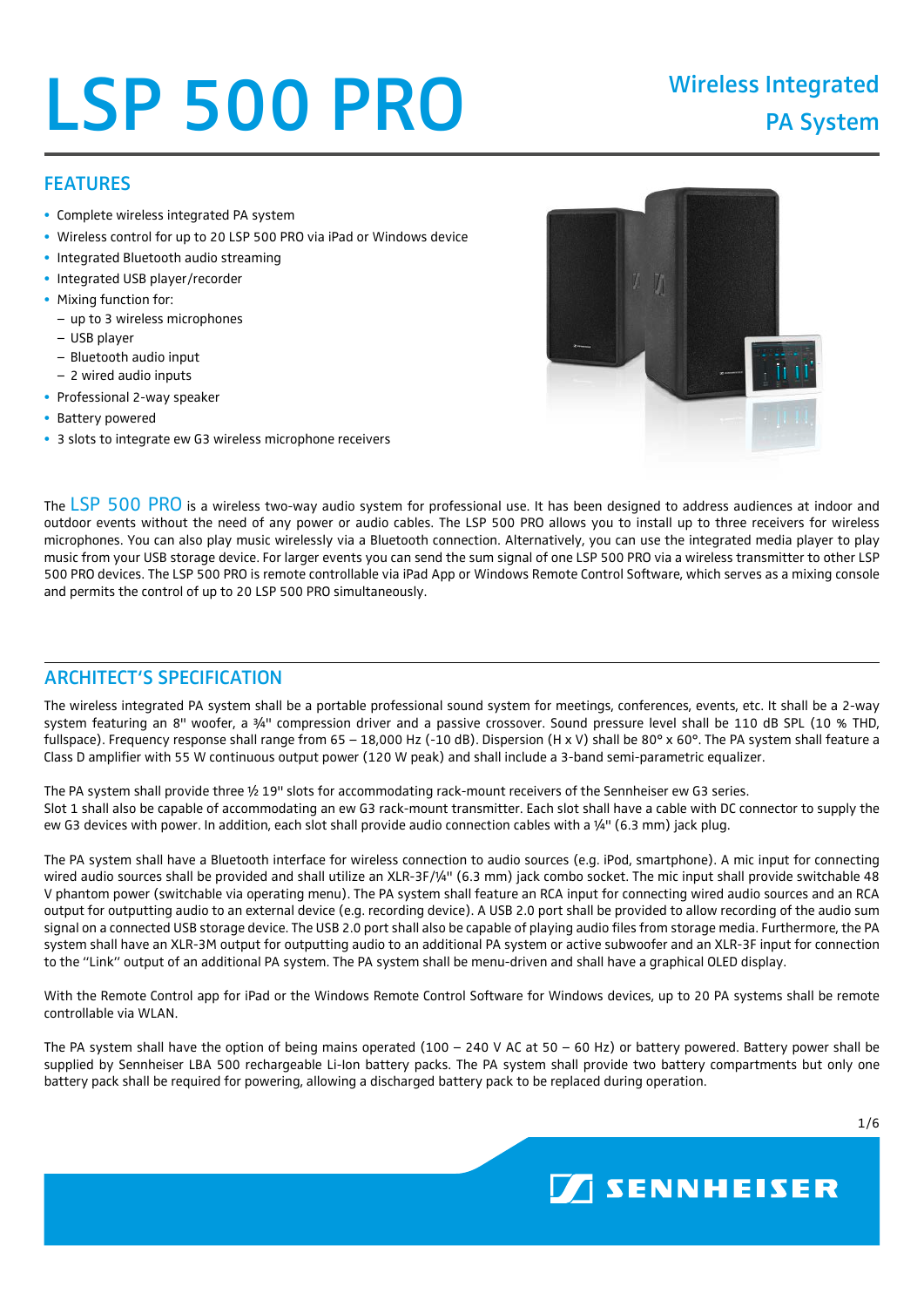# LSP 500 PRO Wireless Integrated

# FEATURES

- Complete wireless integrated PA system
- Wireless control for up to 20 LSP 500 PRO via iPad or Windows device
- Integrated Bluetooth audio streaming
- Integrated USB player/recorder
- Mixing function for:
- up to 3 wireless microphones
- USB player
- Bluetooth audio input
- 2 wired audio inputs
- Professional 2-way speaker
- Battery powered
- 3 slots to integrate ew G3 wireless microphone receivers



**SENNHEISER** 

The LSP 500 PRO is a wireless two-way audio system for professional use. It has been designed to address audiences at indoor and outdoor events without the need of any power or audio cables. The LSP 500 PRO allows you to install up to three receivers for wireless microphones. You can also play music wirelessly via a Bluetooth connection. Alternatively, you can use the integrated media player to play music from your USB storage device. For larger events you can send the sum signal of one LSP 500 PRO via a wireless transmitter to other LSP 500 PRO devices. The LSP 500 PRO is remote controllable via iPad App or Windows Remote Control Software, which serves as a mixing console and permits the control of up to 20 LSP 500 PRO simultaneously.

# ARCHITECT'S SPECIFICATION

The wireless integrated PA system shall be a portable professional sound system for meetings, conferences, events, etc. It shall be a 2-way system featuring an 8" woofer, a 3/4" compression driver and a passive crossover. Sound pressure level shall be 110 dB SPL (10 % THD, fullspace). Frequency response shall range from 65 - 18,000 Hz (-10 dB). Dispersion (H x V) shall be 80° x 60°. The PA system shall feature a Class D amplifier with 55 W continuous output power (120 W peak) and shall include a 3-band semi-parametric equalizer.

The PA system shall provide three ½ 19" slots for accommodating rack-mount receivers of the Sennheiser ew G3 series. Slot 1 shall also be capable of accommodating an ew G3 rack-mount transmitter. Each slot shall have a cable with DC connector to supply the ew G3 devices with power. In addition, each slot shall provide audio connection cables with a ¼" (6.3 mm) jack plug.

The PA system shall have a Bluetooth interface for wireless connection to audio sources (e.g. iPod, smartphone). A mic input for connecting wired audio sources shall be provided and shall utilize an XLR-3F/¼" (6.3 mm) jack combo socket. The mic input shall provide switchable 48 V phantom power (switchable via operating menu). The PA system shall feature an RCA input for connecting wired audio sources and an RCA output for outputting audio to an external device (e.g. recording device). A USB 2.0 port shall be provided to allow recording of the audio sum signal on a connected USB storage device. The USB 2.0 port shall also be capable of playing audio files from storage media. Furthermore, the PA system shall have an XLR-3M output for outputting audio to an additional PA system or active subwoofer and an XLR-3F input for connection to the "Link" output of an additional PA system. The PA system shall be menu-driven and shall have a graphical OLED display.

With the Remote Control app for iPad or the Windows Remote Control Software for Windows devices, up to 20 PA systems shall be remote controllable via WLAN.

The PA system shall have the option of being mains operated (100 – 240 V AC at 50 – 60 Hz) or battery powered. Battery power shall be supplied by Sennheiser LBA 500 rechargeable Li-Ion battery packs. The PA system shall provide two battery compartments but only one battery pack shall be required for powering, allowing a discharged battery pack to be replaced during operation.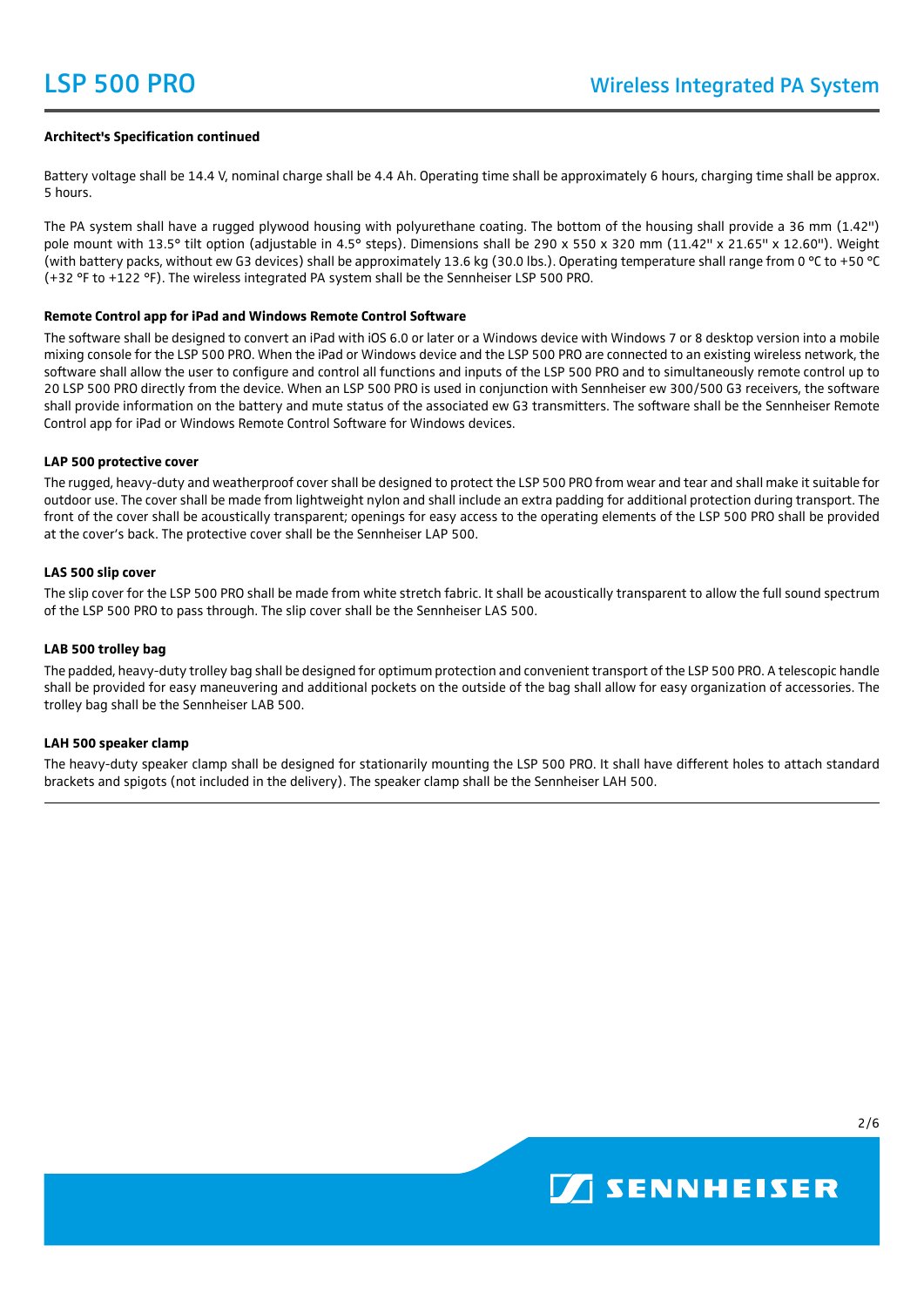### **Architect's Specification continued**

Battery voltage shall be 14.4 V, nominal charge shall be 4.4 Ah. Operating time shall be approximately 6 hours, charging time shall be approx. 5 hours.

The PA system shall have a rugged plywood housing with polyurethane coating. The bottom of the housing shall provide a 36 mm (1.42") pole mount with 13.5° tilt option (adjustable in 4.5° steps). Dimensions shall be 290 x 550 x 320 mm (11.42" x 21.65" x 12.60"). Weight (with battery packs, without ew G3 devices) shall be approximately 13.6 kg (30.0 lbs.). Operating temperature shall range from 0 °C to +50 °C (+32 °F to +122 °F). The wireless integrated PA system shall be the Sennheiser LSP 500 PRO.

#### **Remote Control app for iPad and Windows Remote Control Software**

The software shall be designed to convert an iPad with iOS 6.0 or later or a Windows device with Windows 7 or 8 desktop version into a mobile mixing console for the LSP 500 PRO. When the iPad or Windows device and the LSP 500 PRO are connected to an existing wireless network, the software shall allow the user to configure and control all functions and inputs of the LSP 500 PRO and to simultaneously remote control up to 20 LSP 500 PRO directly from the device. When an LSP 500 PRO is used in conjunction with Sennheiser ew 300/500 G3 receivers, the software shall provide information on the battery and mute status of the associated ew G3 transmitters. The software shall be the Sennheiser Remote Control app for iPad or Windows Remote Control Software for Windows devices.

#### **LAP 500 protective cover**

The rugged, heavy-duty and weatherproof cover shall be designed to protect the LSP 500 PRO from wear and tear and shall make it suitable for outdoor use. The cover shall be made from lightweight nylon and shall include an extra padding for additional protection during transport. The front of the cover shall be acoustically transparent; openings for easy access to the operating elements of the LSP 500 PRO shall be provided at the cover's back. The protective cover shall be the Sennheiser LAP 500.

## **LAS 500 slip cover**

The slip cover for the LSP 500 PRO shall be made from white stretch fabric. It shall be acoustically transparent to allow the full sound spectrum of the LSP 500 PRO to pass through. The slip cover shall be the Sennheiser LAS 500.

#### **LAB 500 trolley bag**

The padded, heavy-duty trolley bag shall be designed for optimum protection and convenient transport of the LSP 500 PRO. A telescopic handle shall be provided for easy maneuvering and additional pockets on the outside of the bag shall allow for easy organization of accessories. The trolley bag shall be the Sennheiser LAB 500.

#### **LAH 500 speaker clamp**

The heavy-duty speaker clamp shall be designed for stationarily mounting the LSP 500 PRO. It shall have different holes to attach standard brackets and spigots (not included in the delivery). The speaker clamp shall be the Sennheiser LAH 500.

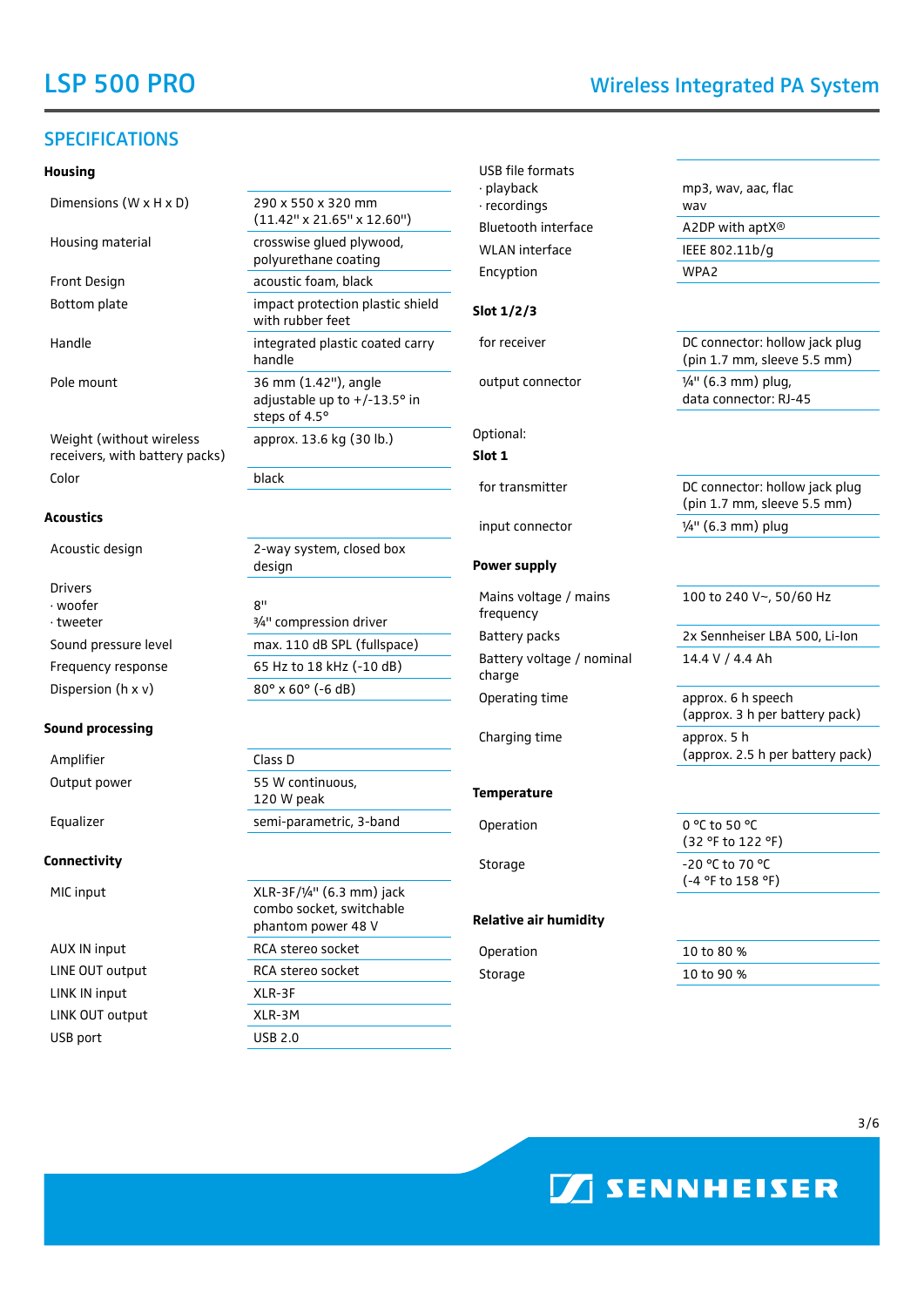# SPECIFICATIONS

#### **Housing**

Dimensions  $(W \times H \times D)$  290 x 550 x 320 mm

Weight (without wireless receivers, with battery packs) Color black

#### **Acoustics**

Drivers ∙ woofer ∙ tweeter Dispersion (h x v)  $80^\circ \times 60^\circ$  (-6 dB)

#### **Sound processing**

Amplifier Class D

#### **Connectivity**

MIC input

AUX IN input LINE OUT output LINK IN input LINK OUT output USB port

(11.42" x 21.65" x 12.60") Housing material crosswise glued plywood, polyurethane coating Front Design acoustic foam, black Bottom plate impact protection plastic shield with rubber feet Handle **integrated plastic coated carry** handle Pole mount 36 mm (1.42"), angle adjustable up to +/-13.5° in steps of 4.5° approx. 13.6 kg (30 lb.) Acoustic design 2-way system, closed box

8" ¾" compression driver Sound pressure level max. 110 dB SPL (fullspace) Frequency response 65 Hz to 18 kHz (-10 dB)

design

Output power 55 W continuous, 120 W peak Equalizer semi-parametric, 3-band

| $XLR-3F/1/4"$ (6.3 mm) jack<br>combo socket, switchable<br>phantom power 48 V |  |
|-------------------------------------------------------------------------------|--|
| RCA steren snrket                                                             |  |
| RCA steren snrket                                                             |  |
| $XIR-3F$                                                                      |  |
| XLR-3M                                                                        |  |
| USB 2 0                                                                       |  |

USB file formats ∙ playback ∙ recordings Bluetooth interface A2DP with aptX® WLAN interface IEEE 802.11b/g Encyption WPA2

## **Slot 1/2/3**

Optional: **Slot 1**

#### **Power supply**

Mains voltage / mains frequency Battery voltage / nominal charge

## **Temperature**

#### **Relative air humidity**

mp3, wav, aac, flac wav

for receiver **EXECO EXECO CONNECT** DC connector: hollow jack plug (pin 1.7 mm, sleeve 5.5 mm) output connector ¼" (6.3 mm) plug,

data connector: RJ-45

for transmitter The Connector: hollow jack plug (pin 1.7 mm, sleeve 5.5 mm) input connector ¼" (6.3 mm) plug

100 to 240 V~, 50/60 Hz

Battery packs 2x Sennheiser LBA 500, Li-Ion 14.4 V / 4.4 Ah

Operating time approx. 6 h speech (approx. 3 h per battery pack) Charging time approx. 5 h (approx. 2.5 h per battery pack)

Operation 0 °C to 50 °C (32 °F to 122 °F) Storage 20 °C to 70 °C (-4 °F to 158 °F)

Operation 10 to 80 % Storage 10 to 90 %



# LSP 500 PRO Wireless Integrated PA System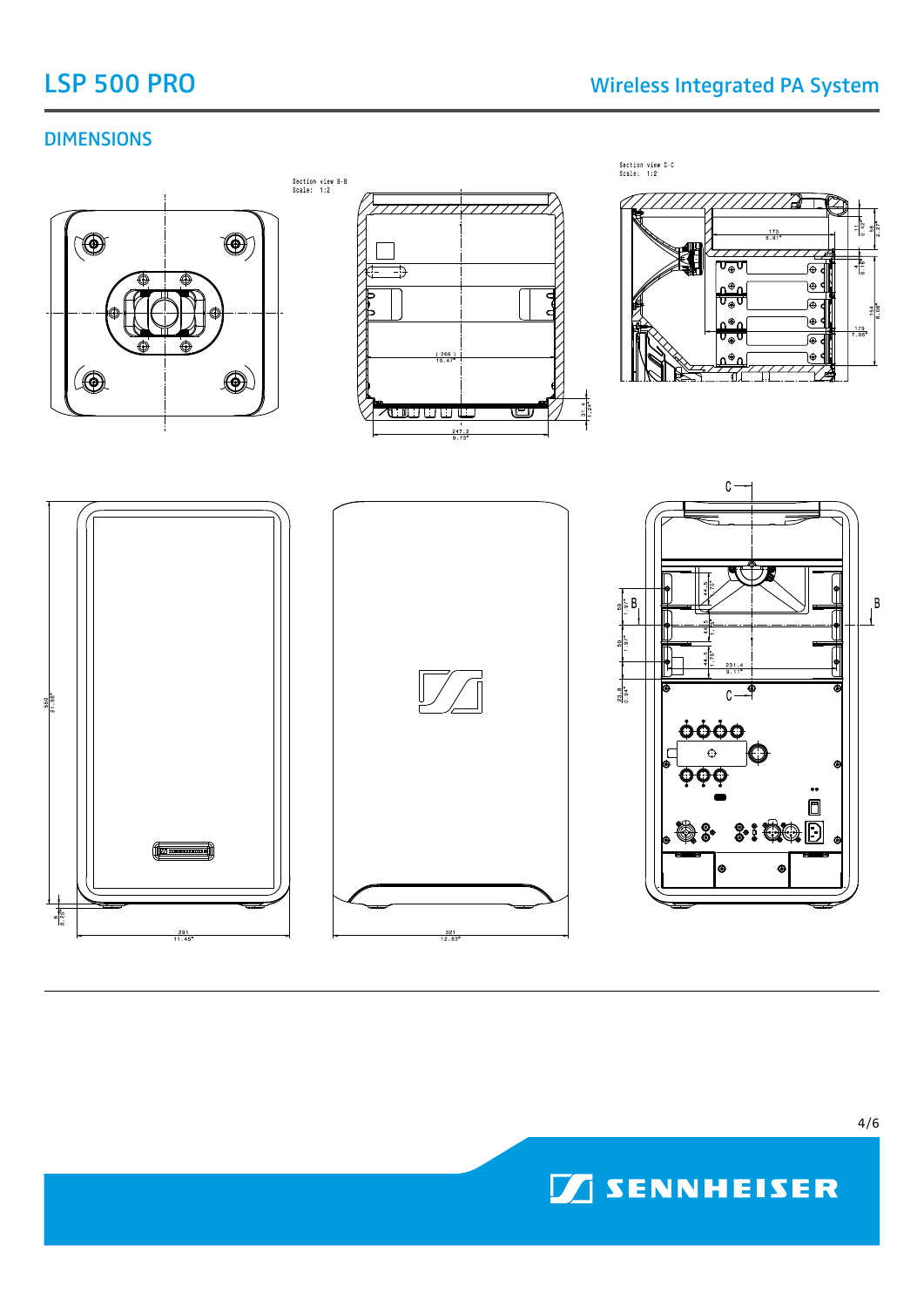# DIMENSIONS



**SENNHEISER**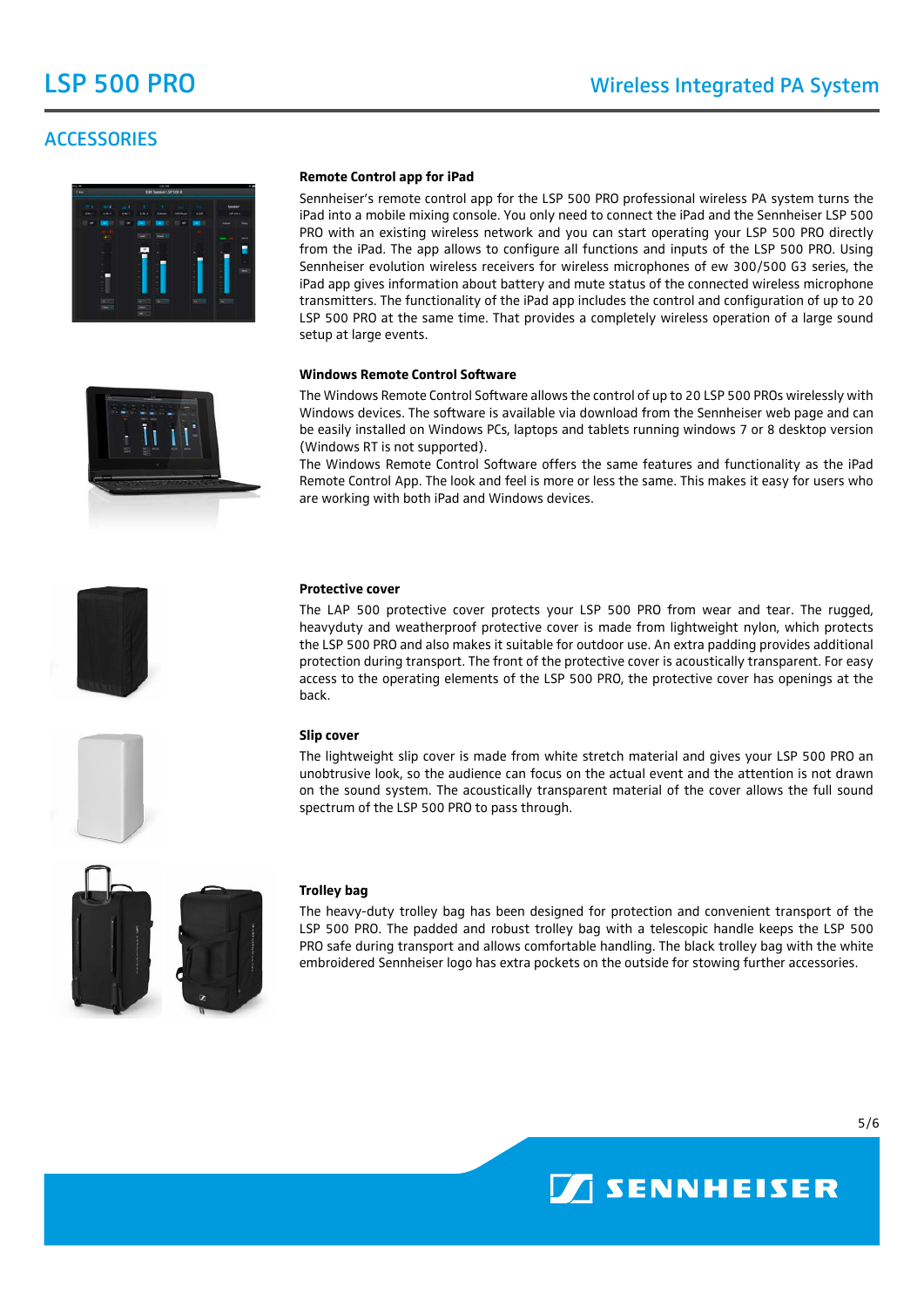# **ACCESSORIES**



#### **Remote Control app for iPad**

Sennheiser's remote control app for the LSP 500 PRO professional wireless PA system turns the iPad into a mobile mixing console. You only need to connect the iPad and the Sennheiser LSP 500 PRO with an existing wireless network and you can start operating your LSP 500 PRO directly from the iPad. The app allows to configure all functions and inputs of the LSP 500 PRO. Using Sennheiser evolution wireless receivers for wireless microphones of ew 300/500 G3 series, the iPad app gives information about battery and mute status of the connected wireless microphone transmitters. The functionality of the iPad app includes the control and configuration of up to 20 LSP 500 PRO at the same time. That provides a completely wireless operation of a large sound setup at large events.

#### **Windows Remote Control Software**

The Windows Remote Control Software allows the control of up to 20 LSP 500 PROs wirelessly with Windows devices. The software is available via download from the Sennheiser web page and can be easily installed on Windows PCs, laptops and tablets running windows 7 or 8 desktop version (Windows RT is not supported).

The Windows Remote Control Software offers the same features and functionality as the iPad Remote Control App. The look and feel is more or less the same. This makes it easy for users who are working with both iPad and Windows devices.



### **Protective cover**

The LAP 500 protective cover protects your LSP 500 PRO from wear and tear. The rugged, heavyduty and weatherproof protective cover is made from lightweight nylon, which protects the LSP 500 PRO and also makes it suitable for outdoor use. An extra padding provides additional protection during transport. The front of the protective cover is acoustically transparent. For easy access to the operating elements of the LSP 500 PRO, the protective cover has openings at the back.



The lightweight slip cover is made from white stretch material and gives your LSP 500 PRO an unobtrusive look, so the audience can focus on the actual event and the attention is not drawn on the sound system. The acoustically transparent material of the cover allows the full sound spectrum of the LSP 500 PRO to pass through.



#### **Trolley bag**

The heavy-duty trolley bag has been designed for protection and convenient transport of the LSP 500 PRO. The padded and robust trolley bag with a telescopic handle keeps the LSP 500 PRO safe during transport and allows comfortable handling. The black trolley bag with the white embroidered Sennheiser logo has extra pockets on the outside for stowing further accessories.